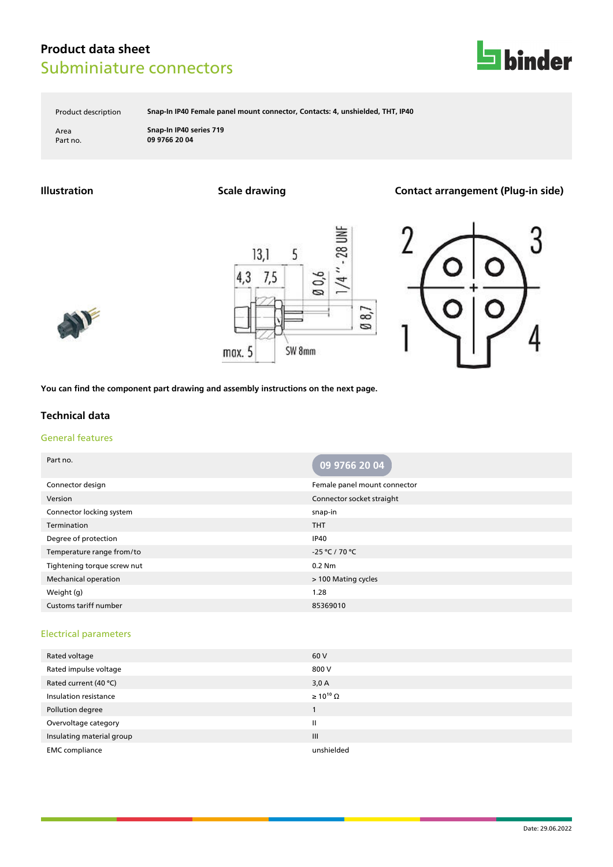

Product description **Snap-In IP40 Female panel mount connector, Contacts: 4, unshielded, THT, IP40**

Area **Snap-In IP40 series 719** Part no. **09 9766 20 04**

**Illustration Scale drawing Contact arrangement (Plug-in side)**





**You can find the component part drawing and assembly instructions on the next page.**

### **Technical data**

#### General features

| Part no.                    | 09 9766 20 04                |
|-----------------------------|------------------------------|
| Connector design            | Female panel mount connector |
| Version                     | Connector socket straight    |
| Connector locking system    | snap-in                      |
| Termination                 | <b>THT</b>                   |
| Degree of protection        | <b>IP40</b>                  |
| Temperature range from/to   | -25 °C / 70 °C               |
| Tightening torque screw nut | $0.2$ Nm                     |
| <b>Mechanical operation</b> | > 100 Mating cycles          |
| Weight (g)                  | 1.28                         |
| Customs tariff number       | 85369010                     |

#### Electrical parameters

| Rated voltage             | 60 V                  |
|---------------------------|-----------------------|
| Rated impulse voltage     | 800 V                 |
| Rated current (40 °C)     | 3,0A                  |
| Insulation resistance     | $\geq 10^{10} \Omega$ |
| Pollution degree          |                       |
| Overvoltage category      | Ш                     |
| Insulating material group | III                   |
| <b>EMC</b> compliance     | unshielded            |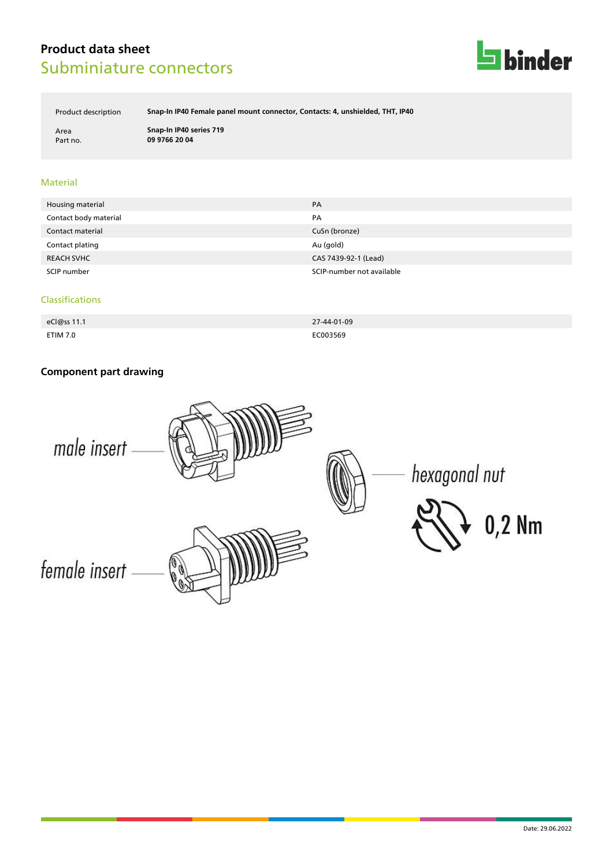

Product description **Snap-In IP40 Female panel mount connector, Contacts: 4, unshielded, THT, IP40**

Area **Snap-In IP40 series 719** Part no. **09 9766 20 04**

#### Material

| Housing material      | PA                        |
|-----------------------|---------------------------|
| Contact body material | PA                        |
| Contact material      | CuSn (bronze)             |
| Contact plating       | Au (gold)                 |
| <b>REACH SVHC</b>     | CAS 7439-92-1 (Lead)      |
| SCIP number           | SCIP-number not available |

#### Classifications

| eCl@ss 11.1     | 27-44-01-09 |
|-----------------|-------------|
| <b>ETIM 7.0</b> | EC003569    |

### **Component part drawing**

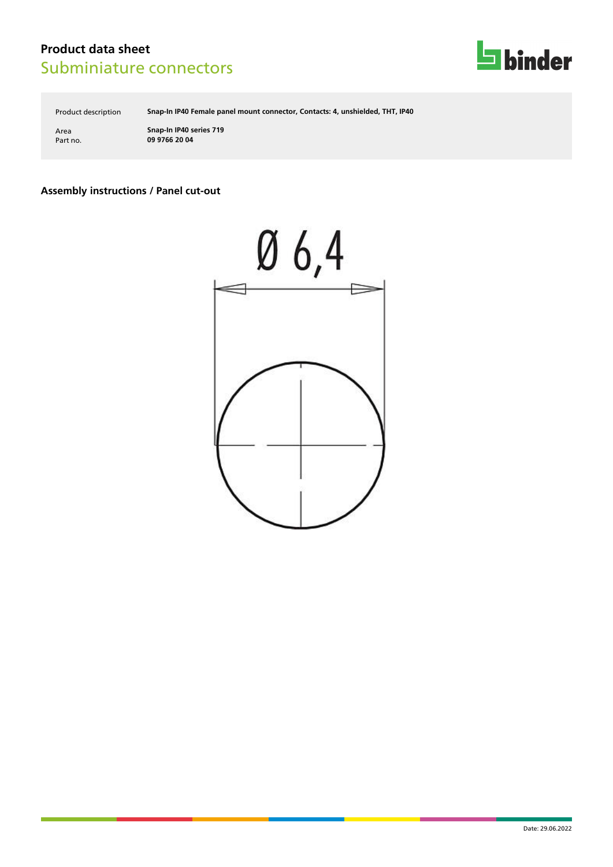

Product description **Snap-In IP40 Female panel mount connector, Contacts: 4, unshielded, THT, IP40**

Area **Snap-In IP40 series 719** Part no. **09 9766 20 04**

### **Assembly instructions / Panel cut-out**